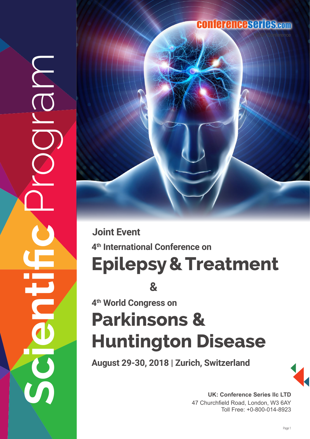## conferenceseries.com

**Epilepsy & Treatment 4th International Conference on Joint Event**

**&**

**4th World Congress on**

**Scientific** Program

E

MON

# **Parkinsons & Huntington Disease**

**August 29-30, 2018 | Zurich, Switzerland**



UK: Conference Series IIc LTD 47 Churchfield Road, London, W3 6AY Toll Free: +0-800-014-8923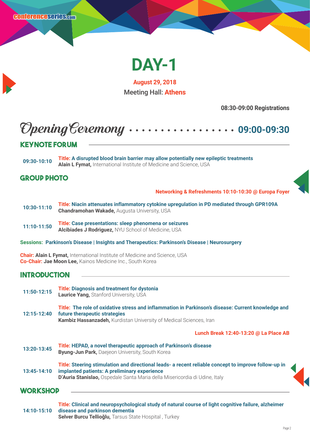

**August 29, 2018** Meeting Hall: **Athens**

**08:30-09:00 Registrations**

## Opening Ceremony **09:00-09:30**

#### **Keynote Forum**

**09:30-10:10 Title: A disrupted blood brain barrier may allow potentially new epileptic treatments Alain L Fymat,** International Institute of Medicine and Science, USA

#### **Group Photo**

**Networking & Refreshments 10:10-10:30 @ Europa Foyer** 

**10:30-11:10 Title: Niacin attenuates inflammatory cytokine upregulation in PD mediated through GPR109A Chandramohan Wakade,** Augusta University, USA

**11:10-11:50 Title: Case presentations: sleep phenomena or seizures Alcibiades J Rodriguez,** NYU School of Medicine, USA

**Sessions: Parkinson's Disease | Insights and Therapeutics: Parkinson's Disease | Neurosurgery**

**Chair: Alain L Fymat,** International Institute of Medicine and Science, USA **Co-Chair: Jae Moon Lee,** Kainos Medicine Inc., South Korea

#### **Introduction**

| 11:50-12:15     | <b>Title: Diagnosis and treatment for dystonia</b><br><b>Laurice Yang, Stanford University, USA</b>                                                                                                                                |
|-----------------|------------------------------------------------------------------------------------------------------------------------------------------------------------------------------------------------------------------------------------|
| 12:15-12:40     | Title: The role of oxidative stress and inflammation in Parkinson's disease: Current knowledge and<br>future therapeutic strategies<br><b>Kambiz Hassanzadeh, Kurdistan University of Medical Sciences, Iran</b>                   |
|                 | Lunch Break 12:40-13:20 @ La Place AB                                                                                                                                                                                              |
| 13:20-13:45     | Title: HEPAD, a novel therapeutic approach of Parkinson's disease<br><b>Byung-Jun Park, Daejeon University, South Korea</b>                                                                                                        |
| 13:45-14:10     | Title: Steering stimulation and directional leads- a recent reliable concept to improve follow-up in<br>implanted patients: A preliminary experience<br>D'Auria Stanislao, Ospedale Santa Maria della Misericordia di Udine, Italy |
| <b>WORKSHOP</b> |                                                                                                                                                                                                                                    |

#### **14:10-15:10 Title: Clinical and neuropsychological study of natural course of light cognitive failure, alzheimer disease and parkinson dementia Selver Burcu Tellioğlu,** Tarsus State Hospital , Turkey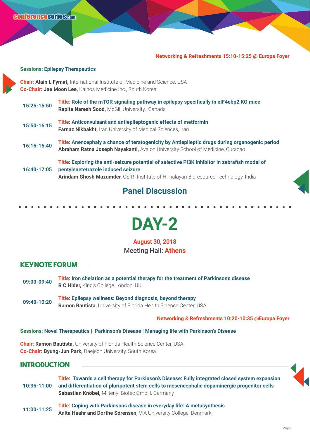#### **Networking & Refreshments 15:10-15:25 @ Europa Foyer**

#### **Sessions: Epilepsy Therapeutics**

**Chair: Alain L Fymat,** International Institute of Medicine and Science, USA **Co-Chair: Jae Moon Lee,** Kainos Medicine Inc., South Korea

| 15:25-15:50 | Title: Role of the mTOR signaling pathway in epilepsy specifically in eIF4ebp2 KO mice<br>Rapita Naresh Sood, McGill University, Canada                                                                                   |
|-------------|---------------------------------------------------------------------------------------------------------------------------------------------------------------------------------------------------------------------------|
| 15:50-16:15 | <b>Title: Anticonvulsant and antiepileptogenic effects of metformin</b><br>Farnaz Nikbakht, Iran University of Medical Sciences, Iran                                                                                     |
| 16:15-16:40 | Title: Anencephaly a chance of teratogenicity by Antiepileptic drugs during organogenic period<br>Abraham Ratna Joseph Nayakanti, Avalon University School of Medicine, Curacao                                           |
| 16:40-17:05 | Title: Exploring the anti-seizure potential of selective PI3K inhibitor in zebrafish model of<br>pentylenetetrazole induced seizure<br>Arindam Ghosh Mazumder, CSIR- Institute of Himalayan Bioresource Technology, India |

#### **Panel Discussion**

**DAY-2** 

**August 30, 2018** Meeting Hall: **Athens**

#### **Keynote Forum**

- **09:00-09:40 Title: Iron chelation as a potential therapy for the treatment of Parkinson's disease R C Hider,** King's College London, UK
- **09:40-10:20 Title: Epilepsy wellness: Beyond diagnosis, beyond therapy Ramon Bautista,** University of Florida Health Science Center, USA

**Networking & Refreshments 10:20-10:35 @Europa Foyer** 

#### **Sessions: Novel Therapeutics | Parkinson's Disease | Managing life with Parkinson's Disease**

**Chair: Ramon Bautista,** University of Florida Health Science Center, USA **Co-Chair: Byung-Jun Park,** Daejeon University, South Korea

#### **Introduction**

| 10:35-11:00 | Title: Towards a cell therapy for Parkinson's Disease: Fully integrated closed system expansion<br>and differentiation of pluripotent stem cells to mesencephalic dopaminergic progenitor cells<br>Sebastian Knöbel, Miltenyi Biotec GmbH, Germany |
|-------------|----------------------------------------------------------------------------------------------------------------------------------------------------------------------------------------------------------------------------------------------------|
| 11:00-11:25 | Title: Coping with Parkinsons disease in everyday life: A metasynthesis<br>Anita Haahr and Dorthe Sørensen, VIA University College, Denmark                                                                                                        |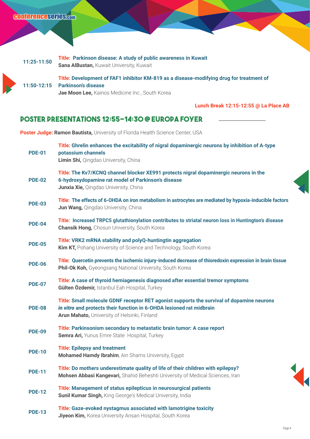| 11:25-11:50 | Title: Parkinson disease: A study of public awareness in Kuwait<br><b>Sana AlBustan, Kuwait University, Kuwait</b>          |
|-------------|-----------------------------------------------------------------------------------------------------------------------------|
|             | Title: Development of FAF1 inhibitor KM-819 as a disease-modifying drug for treatment of<br>11:50-12:15 Parkinson's disease |

**Jae Moon Lee,** Kainos Medicine Inc., South Korea

**Lunch Break 12:15-12:55 @ La Place AB** 

#### **Poster Presentations 12:55-14:30 @ Europa Foyer**

**Poster Judge: Ramon Bautista, University of Florida Health Science Center, USA** 

| <b>PDE-01</b> | Title: Ghrelin enhances the excitability of nigral dopaminergic neurons by inhibition of A-type<br>potassium channels<br>Limin Shi, Qingdao University, China                                                     |
|---------------|-------------------------------------------------------------------------------------------------------------------------------------------------------------------------------------------------------------------|
| <b>PDE-02</b> | Title: The Kv7/KCNQ channel blocker XE991 protects nigral dopaminergic neurons in the<br>6-hydroxydopamine rat model of Parkinson's disease<br>Junxia Xie, Qingdao University, China                              |
| <b>PDE-03</b> | Title: The effects of 6-OHDA on iron metabolism in astrocytes are mediated by hypoxia-inducible factors<br>Jun Wang, Qingdao University, China                                                                    |
| <b>PDE-04</b> | Title: Increased TRPC5 glutathionylation contributes to striatal neuron loss in Huntington's disease<br><b>Chansik Hong, Chosun University, South Korea</b>                                                       |
| <b>PDE-05</b> | Title: VRK2 mRNA stability and polyQ-huntingtin aggregation<br>Kim KT, Pohang University of Science and Technology, South Korea                                                                                   |
| <b>PDE-06</b> | Title: Quercetin prevents the ischemic injury-induced decrease of thioredoxin expression in brain tissue<br>Phil-Ok Koh, Gyeongsang National University, South Korea                                              |
| <b>PDE-07</b> | Title: A case of thyroid hemiagenesis diagnosed after essential tremor symptoms<br>Gülten Özdemir, Istanbul Eah Hospital, Turkey                                                                                  |
| <b>PDE-08</b> | Title: Small molecule GDNF receptor RET agonist supports the survival of dopamine neurons<br>in vitro and protects their function in 6-OHDA lesioned rat midbrain<br>Arun Mahato, University of Helsinki, Finland |
| <b>PDE-09</b> | Title: Parkinsonism secondary to metastatic brain tumor: A case report<br>Semra Ari, Yunus Emre State Hospital, Turkey                                                                                            |
| <b>PDE-10</b> | <b>Title: Epilepsy and treatment</b><br>Mohamed Hamdy Ibrahim, Ain Shams University, Egypt                                                                                                                        |
| <b>PDE-11</b> | Title: Do mothers underestimate quality of life of their children with epilepsy?<br>Mohsen Abbasi Kangevari, Shahid Beheshti University of Medical Sciences, Iran                                                 |
| <b>PDE-12</b> | Title: Management of status epilepticus in neurosurgical patients<br><b>Sunil Kumar Singh, King George's Medical University, India</b>                                                                            |
| <b>PDE-13</b> | Title: Gaze-evoked nystagmus associated with lamotrigine toxicity<br>Jiyeon Kim, Korea University Ansan Hospital, South Korea                                                                                     |